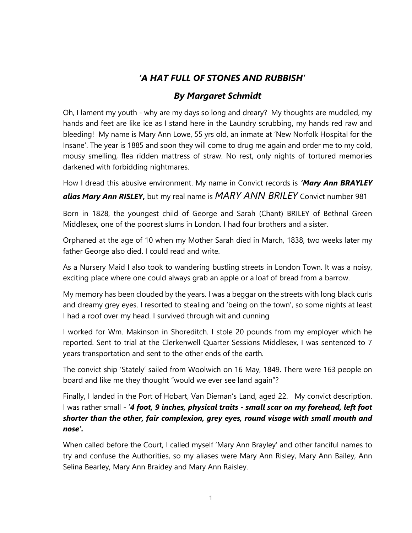## 'A HAT FULL OF STONES AND RUBBISH'

## By Margaret Schmidt

Oh, I lament my youth - why are my days so long and dreary? My thoughts are muddled, my hands and feet are like ice as I stand here in the Laundry scrubbing, my hands red raw and bleeding! My name is Mary Ann Lowe, 55 yrs old, an inmate at 'New Norfolk Hospital for the Insane'. The year is 1885 and soon they will come to drug me again and order me to my cold, mousy smelling, flea ridden mattress of straw. No rest, only nights of tortured memories darkened with forbidding nightmares.

How I dread this abusive environment. My name in Convict records is 'Mary Ann BRAYLEY alias Mary Ann RISLEY, but my real name is MARY ANN BRILEY Convict number 981

Born in 1828, the youngest child of George and Sarah (Chant) BRILEY of Bethnal Green Middlesex, one of the poorest slums in London. I had four brothers and a sister.

Orphaned at the age of 10 when my Mother Sarah died in March, 1838, two weeks later my father George also died. I could read and write.

As a Nursery Maid I also took to wandering bustling streets in London Town. It was a noisy, exciting place where one could always grab an apple or a loaf of bread from a barrow.

My memory has been clouded by the years. I was a beggar on the streets with long black curls and dreamy grey eyes. I resorted to stealing and 'being on the town', so some nights at least I had a roof over my head. I survived through wit and cunning

I worked for Wm. Makinson in Shoreditch. I stole 20 pounds from my employer which he reported. Sent to trial at the Clerkenwell Quarter Sessions Middlesex, I was sentenced to 7 years transportation and sent to the other ends of the earth.

The convict ship 'Stately' sailed from Woolwich on 16 May, 1849. There were 163 people on board and like me they thought "would we ever see land again"?

Finally, I landed in the Port of Hobart, Van Dieman's Land, aged 22. My convict description. I was rather small - '4 foot, 9 inches, physical traits - small scar on my forehead, left foot shorter than the other, fair complexion, grey eyes, round visage with small mouth and nose'.

When called before the Court, I called myself 'Mary Ann Brayley' and other fanciful names to try and confuse the Authorities, so my aliases were Mary Ann Risley, Mary Ann Bailey, Ann Selina Bearley, Mary Ann Braidey and Mary Ann Raisley.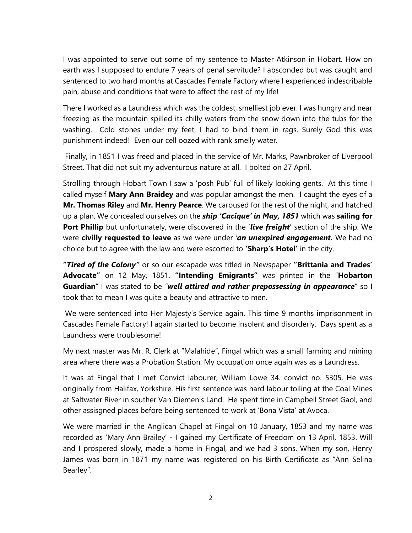I was appointed to serve out some of my sentence to Master Atkinson in Hobart. How on earth was I supposed to endure 7 years of penal servitude? I absconded but was caught and sentenced to two hard months at Cascades Female Factory where I experienced indescribable pain, abuse and conditions that were to affect the rest of my life!

There I worked as a Laundress which was the coldest, smelliest job ever. I was hungry and near freezing as the mountain spilled its chilly waters from the snow down into the tubs for the washing. Cold stones under my feet, I had to bind them in rags. Surely God this was punishment indeed! Even our cell oozed with rank smelly water.

 Finally, in 1851 I was freed and placed in the service of Mr. Marks, Pawnbroker of Liverpool Street. That did not suit my adventurous nature at all. I bolted on 27 April.

Strolling through Hobart Town I saw a 'posh Pub' full of likely looking gents. At this time I called myself Mary Ann Braidey and was popular amongst the men. I caught the eyes of a Mr. Thomas Riley and Mr. Henry Pearce. We caroused for the rest of the night, and hatched up a plan. We concealed ourselves on the **ship 'Cacique' in May, 1851** which was **sailing for** Port Phillip but unfortunately, were discovered in the 'live freight' section of the ship. We were civilly requested to leave as we were under 'an unexpired engagement. We had no choice but to agree with the law and were escorted to 'Sharp's Hotel' in the city.

"Tired of the Colony" or so our escapade was titled in Newspaper "Brittania and Trades' Advocate" on 12 May, 1851. "Intending Emigrants" was printed in the "Hobarton Guardian" I was stated to be "well attired and rather prepossessing in appearance" so I took that to mean I was quite a beauty and attractive to men.

 We were sentenced into Her Majesty's Service again. This time 9 months imprisonment in Cascades Female Factory! I again started to become insolent and disorderly. Days spent as a Laundress were troublesome!

My next master was Mr. R. Clerk at "Malahide", Fingal which was a small farming and mining area where there was a Probation Station. My occupation once again was as a Laundress.

It was at Fingal that I met Convict labourer, William Lowe 34. convict no. 5305. He was originally from Halifax, Yorkshire. His first sentence was hard labour toiling at the Coal Mines at Saltwater River in souther Van Diemen's Land. He spent time in Campbell Street Gaol, and other assisgned places before being sentenced to work at 'Bona Vista' at Avoca.

We were married in the Anglican Chapel at Fingal on 10 January, 1853 and my name was recorded as 'Mary Ann Brailey' - I gained my Certificate of Freedom on 13 April, 1853. Will and I prospered slowly, made a home in Fingal, and we had 3 sons. When my son, Henry James was born in 1871 my name was registered on his Birth Certificate as "Ann Selina Bearley".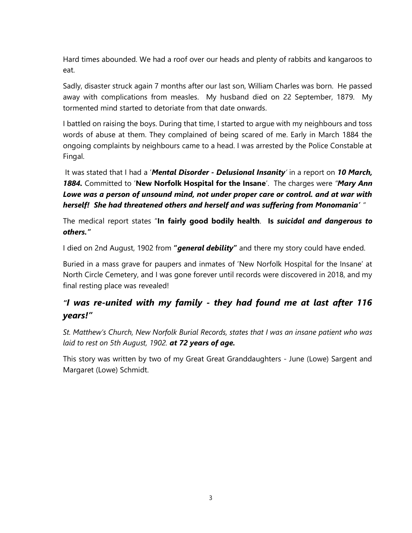Hard times abounded. We had a roof over our heads and plenty of rabbits and kangaroos to eat.

Sadly, disaster struck again 7 months after our last son, William Charles was born. He passed away with complications from measles. My husband died on 22 September, 1879. My tormented mind started to detoriate from that date onwards.

I battled on raising the boys. During that time, I started to argue with my neighbours and toss words of abuse at them. They complained of being scared of me. Early in March 1884 the ongoing complaints by neighbours came to a head. I was arrested by the Police Constable at Fingal.

It was stated that I had a 'Mental Disorder - Delusional Insanity' in a report on 10 March, 1884. Committed to 'New Norfolk Hospital for the Insane'. The charges were "Mary Ann Lowe was a person of unsound mind, not under proper care or control. and at war with herself! She had threatened others and herself and was suffering from Monomania' "

The medical report states "In fairly good bodily health. Is suicidal and dangerous to others."

I died on 2nd August, 1902 from "general debility" and there my story could have ended.

Buried in a mass grave for paupers and inmates of 'New Norfolk Hospital for the Insane' at North Circle Cemetery, and I was gone forever until records were discovered in 2018, and my final resting place was revealed!

# "I was re-united with my family - they had found me at last after 116 years!"

St. Matthew's Church, New Norfolk Burial Records, states that I was an insane patient who was laid to rest on 5th August, 1902. at 72 years of age.

This story was written by two of my Great Great Granddaughters - June (Lowe) Sargent and Margaret (Lowe) Schmidt.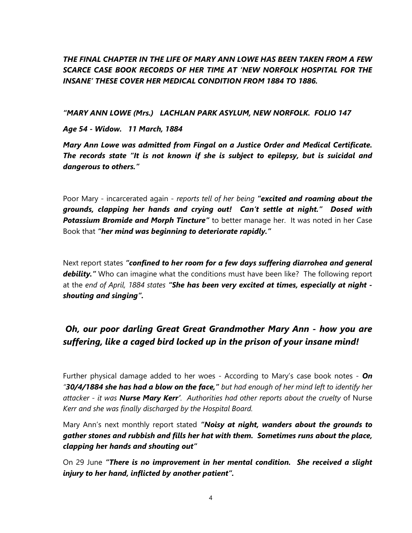### THE FINAL CHAPTER IN THE LIFE OF MARY ANN LOWE HAS BEEN TAKEN FROM A FEW SCARCE CASE BOOK RECORDS OF HER TIME AT 'NEW NORFOLK HOSPITAL FOR THE INSANE' THESE COVER HER MEDICAL CONDITION FROM 1884 TO 1886.

"MARY ANN LOWE (Mrs.) LACHLAN PARK ASYLUM, NEW NORFOLK. FOLIO 147

Age 54 - Widow. 11 March, 1884

Mary Ann Lowe was admitted from Fingal on a Justice Order and Medical Certificate. The records state "It is not known if she is subject to epilepsy, but is suicidal and dangerous to others."

Poor Mary - incarcerated again - reports tell of her being "excited and roaming about the grounds, clapping her hands and crying out! Can't settle at night." Dosed with Potassium Bromide and Morph Tincture" to better manage her. It was noted in her Case Book that "her mind was beginning to deteriorate rapidly."

Next report states "confined to her room for a few days suffering diarrohea and general debility." Who can imagine what the conditions must have been like? The following report at the end of April, 1884 states "She has been very excited at times, especially at night shouting and singing".

# Oh, our poor darling Great Great Grandmother Mary Ann - how you are suffering, like a caged bird locked up in the prison of your insane mind!

Further physical damage added to her woes - According to Mary's case book notes -  $On$ "30/4/1884 she has had a blow on the face," but had enough of her mind left to identify her attacker - it was **Nurse Mary Kerr'**. Authorities had other reports about the cruelty of Nurse Kerr and she was finally discharged by the Hospital Board.

Mary Ann's next monthly report stated "**Noisy at night, wanders about the grounds to** gather stones and rubbish and fills her hat with them. Sometimes runs about the place, clapping her hands and shouting out"

On 29 June "There is no improvement in her mental condition. She received a slight injury to her hand, inflicted by another patient".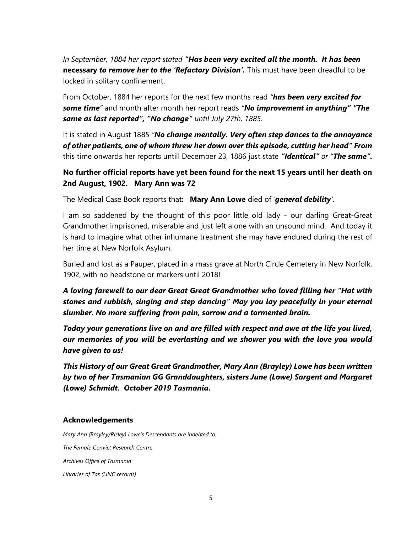In September, 1884 her report stated "**Has been very excited all the month. It has been** necessary to remove her to the 'Refactory Division'. This must have been dreadful to be locked in solitary confinement.

From October, 1884 her reports for the next few months read "has been very excited for some time" and month after month her report reads "No improvement in anything" "The same as last reported", "No change" until July 27th, 1885.

It is stated in August 1885 "No change mentally. Very often step dances to the annoyance of other patients, one of whom threw her down over this episode, cutting her head" From this time onwards her reports untill December 23, 1886 just state "Identical" or "The same".

### No further official reports have yet been found for the next 15 years until her death on 2nd August, 1902. Mary Ann was 72

The Medical Case Book reports that: Mary Ann Lowe died of 'general debility'.

I am so saddened by the thought of this poor little old lady - our darling Great-Great Grandmother imprisoned, miserable and just left alone with an unsound mind. And today it is hard to imagine what other inhumane treatment she may have endured during the rest of her time at New Norfolk Asylum.

Buried and lost as a Pauper, placed in a mass grave at North Circle Cemetery in New Norfolk, 1902, with no headstone or markers until 2018!

A loving farewell to our dear Great Great Grandmother who loved filling her "Hat with stones and rubbish, singing and step dancing" May you lay peacefully in your eternal slumber. No more suffering from pain, sorrow and a tormented brain.

Today your generations live on and are filled with respect and awe at the life you lived, our memories of you will be everlasting and we shower you with the love you would have given to us!

This History of our Great Great Grandmother, Mary Ann (Brayley) Lowe has been written by two of her Tasmanian GG Granddaughters, sisters June (Lowe) Sargent and Margaret (Lowe) Schmidt. October 2019 Tasmania.

#### Acknowledgements

Mary Ann (Brayley/Risley) Lowe's Descendants are indebted to: The Female Convict Research Centre

Archives Office of Tasmania

Libraries of Tas (LINC records)